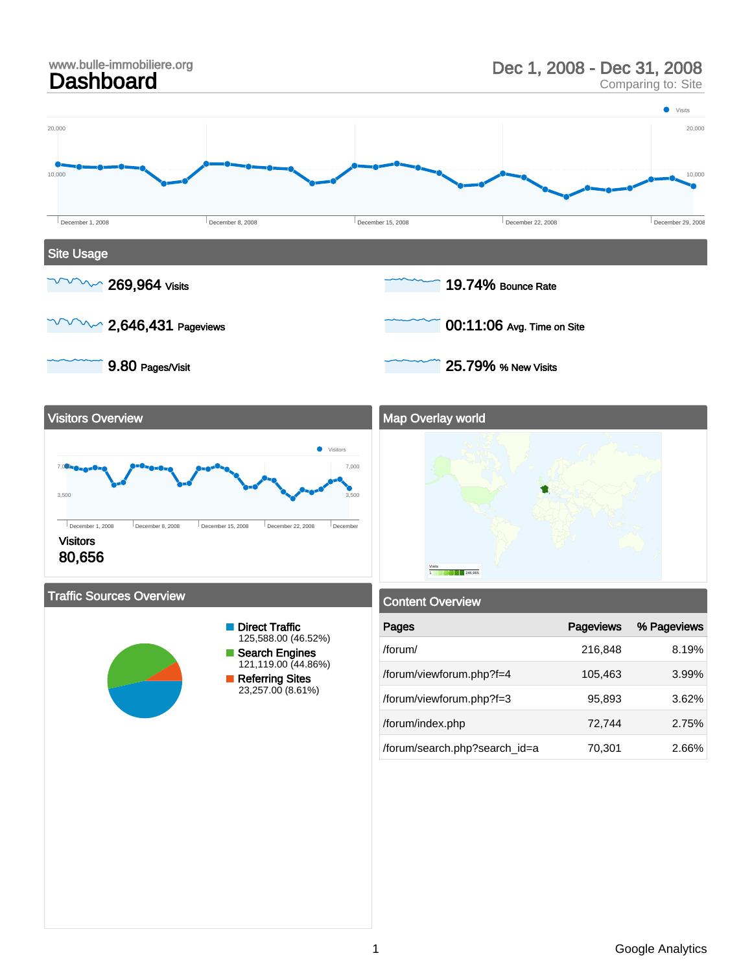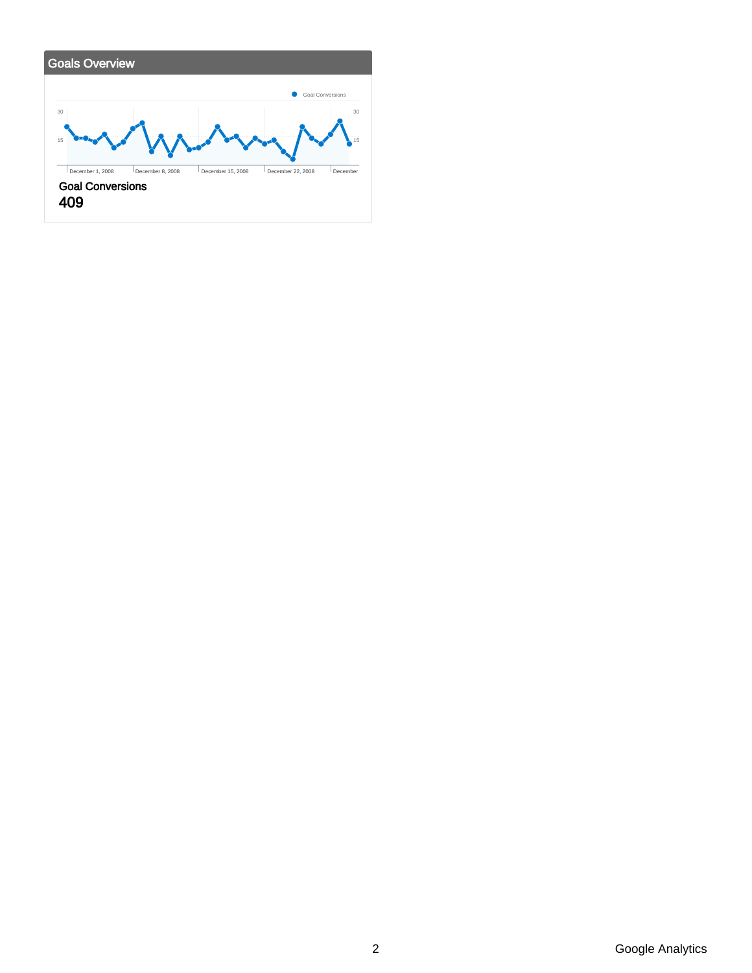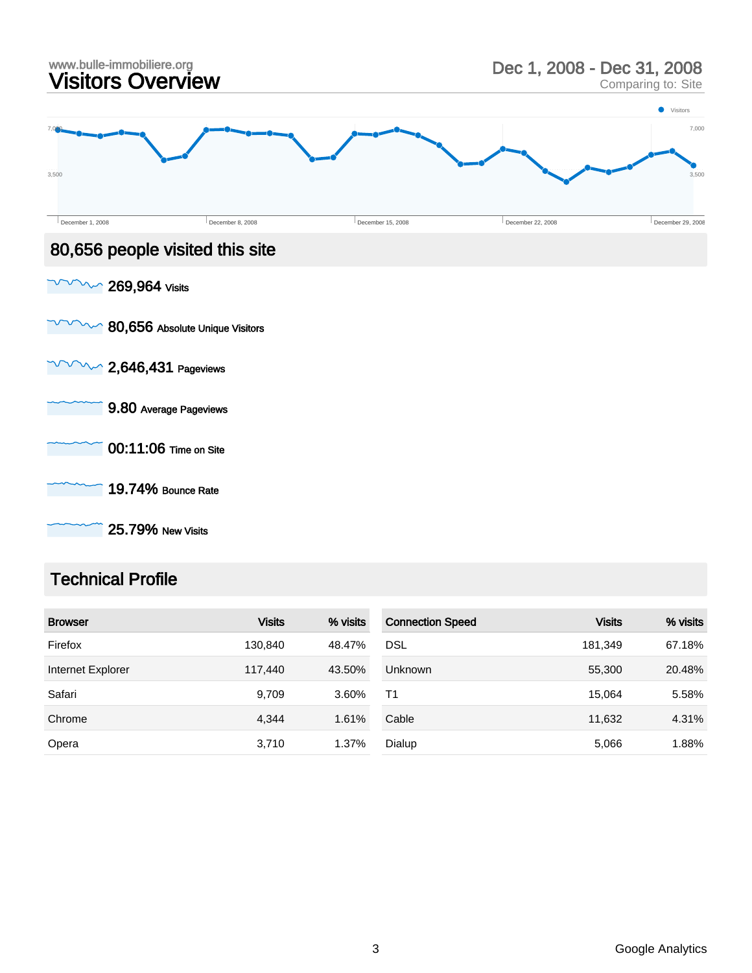| www.bulle-immobiliere.org<br>Visitors Overview |                                 |                   | Dec 1, 2008 - Dec 31, 2008<br>Comparing to: Site |                                   |  |
|------------------------------------------------|---------------------------------|-------------------|--------------------------------------------------|-----------------------------------|--|
| 3,500                                          |                                 |                   |                                                  | <b>Visitors</b><br>7,000<br>3,500 |  |
| December 1, 2008                               | December 8, 2008                | December 15, 2008 | December 22, 2008                                | December 29, 2008                 |  |
|                                                | 80,656 people visited this site |                   |                                                  |                                   |  |
| $\sim$ 269,964 Visits                          |                                 |                   |                                                  |                                   |  |
|                                                | 80,656 Absolute Unique Visitors |                   |                                                  |                                   |  |
| $\sim$ 2,646,431 Pageviews                     |                                 |                   |                                                  |                                   |  |
|                                                | 9.80 Average Pageviews          |                   |                                                  |                                   |  |
|                                                | 00:11:06 Time on Site           |                   |                                                  |                                   |  |
|                                                | 19.74% Bounce Rate              |                   |                                                  |                                   |  |

25.79% New Visits

# Technical Profile

| <b>Browser</b>    | <b>Visits</b> | % visits | <b>Connection Speed</b> | <b>Visits</b> | % visits |
|-------------------|---------------|----------|-------------------------|---------------|----------|
| Firefox           | 130.840       | 48.47%   | <b>DSL</b>              | 181,349       | 67.18%   |
| Internet Explorer | 117.440       | 43.50%   | <b>Unknown</b>          | 55,300        | 20.48%   |
| Safari            | 9,709         | 3.60%    | T <sub>1</sub>          | 15.064        | 5.58%    |
| Chrome            | 4,344         | 1.61%    | Cable                   | 11,632        | 4.31%    |
| Opera             | 3,710         | 1.37%    | Dialup                  | 5,066         | 1.88%    |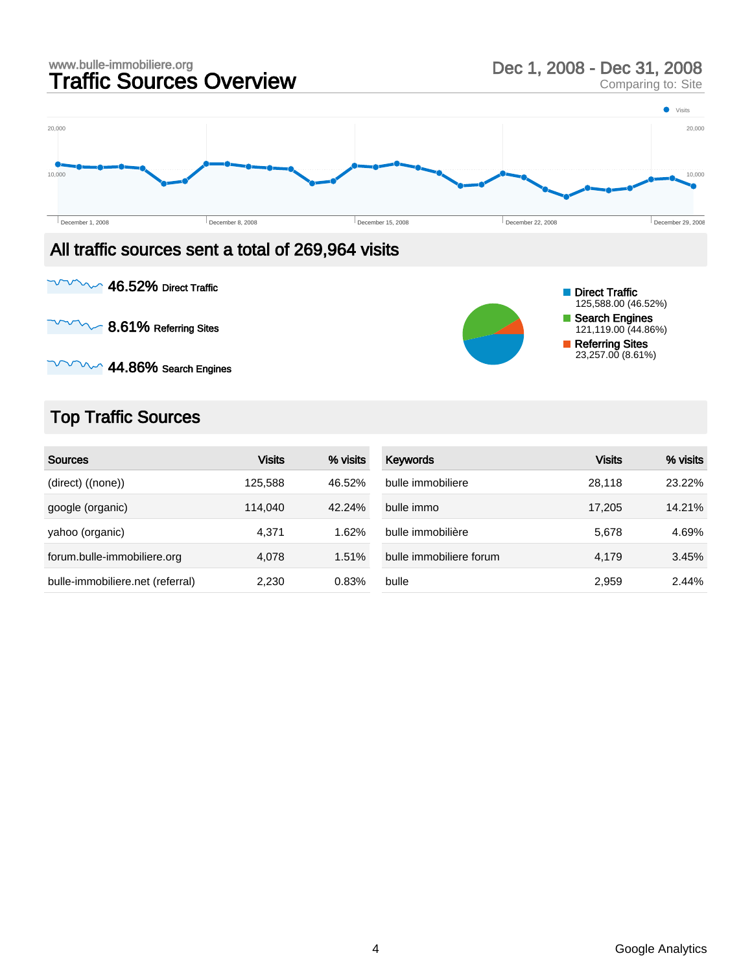

 $\sim$  44.86% Search Engines

### Top Traffic Sources

| <b>Sources</b>                   | <b>Visits</b> | % visits | Keywords                | Visits | % visits |
|----------------------------------|---------------|----------|-------------------------|--------|----------|
| (direct) ((none))                | 125.588       | 46.52%   | bulle immobiliere       | 28.118 | 23.22%   |
| google (organic)                 | 114.040       | 42.24%   | bulle immo              | 17,205 | 14.21%   |
| yahoo (organic)                  | 4.371         | 1.62%    | bulle immobilière       | 5.678  | 4.69%    |
| forum.bulle-immobiliere.org      | 4,078         | 1.51%    | bulle immobiliere forum | 4.179  | 3.45%    |
| bulle-immobiliere.net (referral) | 2.230         | 0.83%    | bulle                   | 2,959  | 2.44%    |

Referring Sites 23,257.00 (8.61%)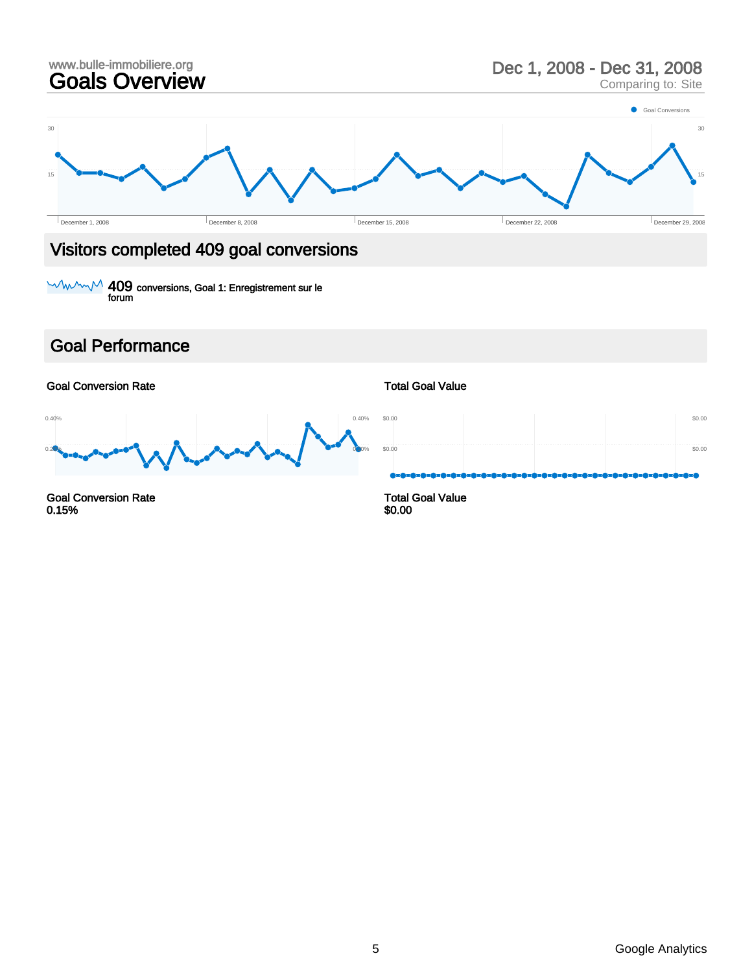

### Visitors completed 409 goal conversions

409 conversions, Goal 1: Enregistrement sur le forum

### Goal Performance

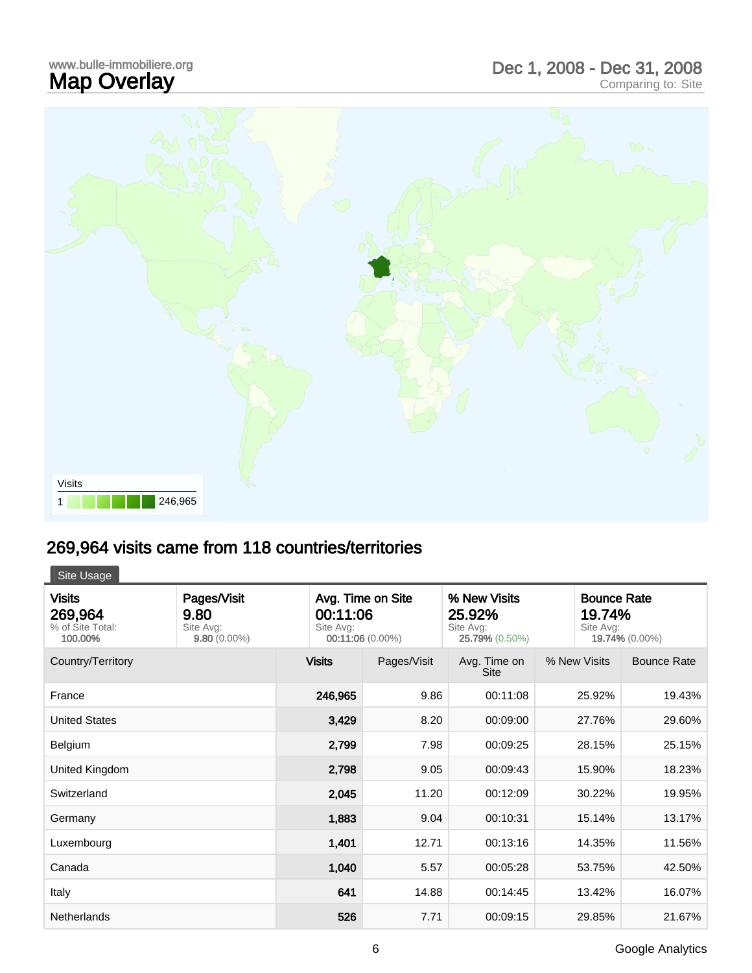### www.bulle-immobiliere.org<br>**Map Overlay** www.bulle-immobiliere.org<br> **Map Overlay** Comparing to: Site<br>
Comparing to: Site



## 269,964 visits came from 118 countries/territories

Site Usage

| <b>Visits</b><br>269,964<br>% of Site Total:<br>100.00% | Pages/Visit<br>9.80<br>Site Avg:<br>$9.80(0.00\%)$ | Avg. Time on Site<br>00:11:06<br>Site Avg:<br>00:11:06 (0.00%) |             | % New Visits<br>25.92%<br>Site Avg:<br>25.79% (0.50%) | Site Avg:    | <b>Bounce Rate</b><br>19.74%<br>19.74% (0.00%) |  |
|---------------------------------------------------------|----------------------------------------------------|----------------------------------------------------------------|-------------|-------------------------------------------------------|--------------|------------------------------------------------|--|
| Country/Territory                                       |                                                    | <b>Visits</b>                                                  | Pages/Visit | Avg. Time on<br><b>Site</b>                           | % New Visits | <b>Bounce Rate</b>                             |  |
| France                                                  |                                                    | 246,965                                                        | 9.86        | 00:11:08                                              | 25.92%       | 19.43%                                         |  |
| <b>United States</b>                                    |                                                    | 3,429                                                          | 8.20        | 00:09:00                                              | 27.76%       | 29.60%                                         |  |
| Belgium                                                 |                                                    | 2,799                                                          | 7.98        | 00:09:25                                              | 28.15%       | 25.15%                                         |  |
| United Kingdom                                          |                                                    | 2,798                                                          | 9.05        | 00:09:43                                              | 15.90%       | 18.23%                                         |  |
| Switzerland                                             |                                                    | 2,045                                                          | 11.20       | 00:12:09                                              | 30.22%       | 19.95%                                         |  |
| Germany                                                 |                                                    | 1,883                                                          | 9.04        | 00:10:31                                              | 15.14%       | 13.17%                                         |  |
| Luxembourg                                              |                                                    | 1,401                                                          | 12.71       | 00:13:16                                              | 14.35%       | 11.56%                                         |  |
| Canada                                                  |                                                    | 1,040                                                          | 5.57        | 00:05:28                                              | 53.75%       | 42.50%                                         |  |
| Italy                                                   |                                                    | 641                                                            | 14.88       | 00:14:45                                              | 13.42%       | 16.07%                                         |  |
| <b>Netherlands</b>                                      |                                                    | 526                                                            | 7.71        | 00:09:15                                              | 29.85%       | 21.67%                                         |  |